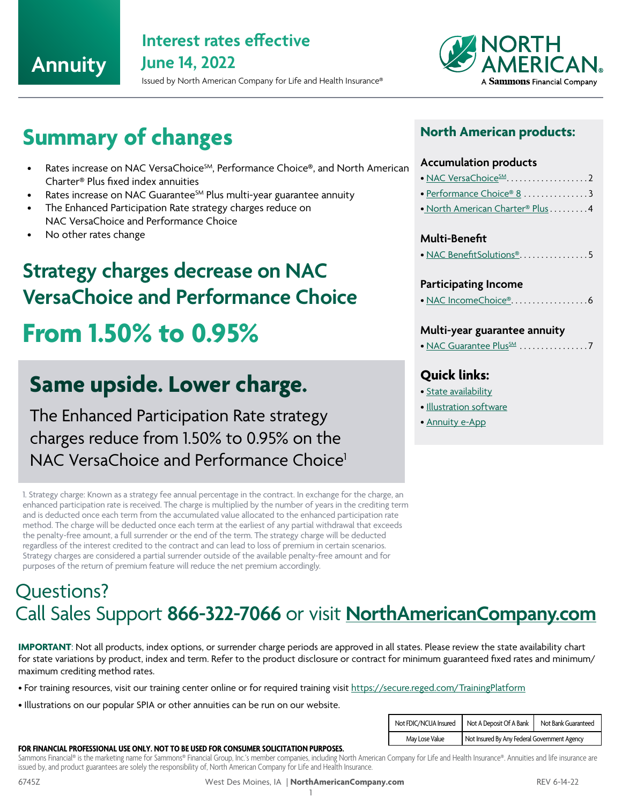## **Annuity**

## **Interest rates effective June 14, 2022**

Issued by North American Company for Life and Health Insurance®



# **Summary of changes**

- Rates increase on NAC VersaChoice<sup>SM</sup>, Performance Choice®, and North American Charter® Plus fixed index annuities
- Rates increase on NAC Guarantee<sup>SM</sup> Plus multi-year guarantee annuity
- The Enhanced Participation Rate strategy charges reduce on NAC VersaChoice and Performance Choice
- No other rates change

# **Strategy charges decrease on NAC VersaChoice and Performance Choice**

# **From 1.50% to 0.95%**

## **Same upside. Lower charge.**

The Enhanced Participation Rate strategy charges reduce from 1.50% to 0.95% on the NAC VersaChoice and Performance Choice<sup>1</sup>

1. Strategy charge: Known as a strategy fee annual percentage in the contract. In exchange for the charge, an enhanced participation rate is received. The charge is multiplied by the number of years in the crediting term and is deducted once each term from the accumulated value allocated to the enhanced participation rate method. The charge will be deducted once each term at the earliest of any partial withdrawal that exceeds the penalty-free amount, a full surrender or the end of the term. The strategy charge will be deducted regardless of the interest credited to the contract and can lead to loss of premium in certain scenarios. Strategy charges are considered a partial surrender outside of the available penalty-free amount and for purposes of the return of premium feature will reduce the net premium accordingly.

## Questions? Call Sales Support **866-322-7066** or visit **[NorthAmericanCompany.com](http://www.NorthAmericanCompany.com)**

**IMPORTANT**: Not all products, index options, or surrender charge periods are approved in all states. Please review the state availability chart for state variations by product, index and term. Refer to the product disclosure or contract for minimum guaranteed fixed rates and minimum/ maximum crediting method rates.

- For training resources, visit our training center online or for required training visit https://secure.reged.com/TrainingPlatform
- Illustrations on our popular SPIA or other annuities can be run on our website.

| Not FDIC/NCUA Insured | Not A Deposit Of A Bank                      | Not Bank Guaranteed |  |  |  |
|-----------------------|----------------------------------------------|---------------------|--|--|--|
| May Lose Value        | Not Insured By Any Federal Government Agency |                     |  |  |  |

### **FOR FINANCIAL PROFESSIONAL USE ONLY. NOT TO BE USED FOR CONSUMER SOLICITATION PURPOSES.**

Sammons Financial® is the marketing name for Sammons® Financial Group, Inc.'s member companies, including North American Company for Life and Health Insurance®. Annuities and life insurance are issued by, and product guarantees are solely the responsibility of, North American Company for Life and Health Insurance.

#### 6745Z West Des Moines, IA | **NorthAmericanCompany.com** REV 6-14-22 1

### **North American products:**

### **Accumulation products**

- [NAC VersaChoice](#page-1-0)SM. . . . . . . . . . . . . . . . . . 2
- $\bullet$  [Performance Choice® 8](#page-2-0)  $\dots\dots\dots\dots$ 3
- • [North American Charter® Plus](#page-3-0).........4

### **Multi-Benefit**

 $\bullet$  [NAC BenefitSolutions®](#page-4-0)................5

### **Participating Income**

• [NAC IncomeChoice®](#page-5-0). . 6

### **Multi-year guarantee annuity**

• NAC Guarantee Plus<sup>SM</sup> ..................7

### **Quick links:**

- [State availability](https://www.northamericancompany.com/documents/434862/9001800/6746Z+-+State+Availability+Chart/4dbd7081-6fd1-474e-94ae-5504dae145be)
- [Illustration software](https://www.northamericancompany.com/group/nacolah-portal/an-app-illustration-software)
- [Annuity e-App](https://www.northamericancompany.com/group/nacolah-portal/an-annuity-eapp)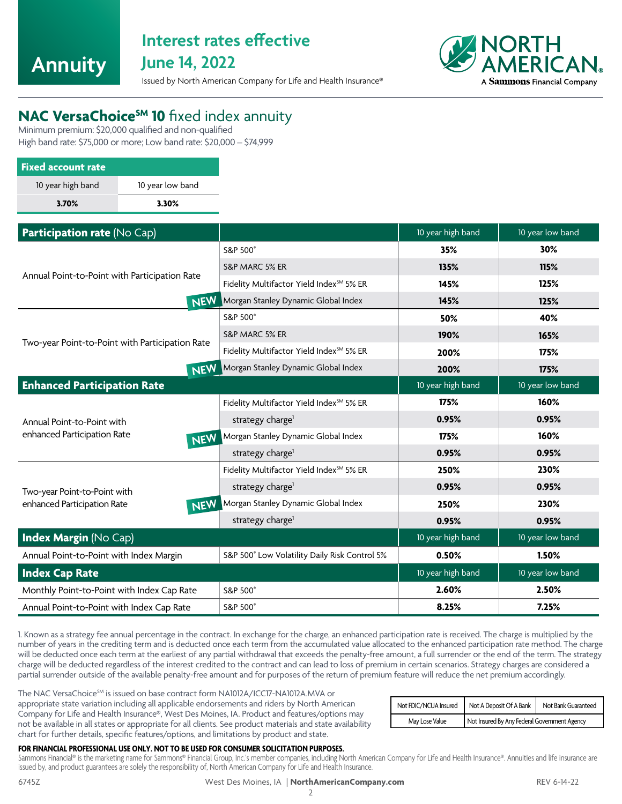<span id="page-1-0"></span>

# **Interest rates effective**

**June 14, 2022**

Issued by North American Company for Life and Health Insurance®



## **NAC VersaChoice<sup>SM</sup> 10** fixed index annuity

Minimum premium: \$20,000 qualified and non-qualified High band rate: \$75,000 or more; Low band rate: \$20,000 – \$74,999

| <b>Fixed account rate</b> |                  |
|---------------------------|------------------|
| 10 year high band         | 10 year low band |
| 3.70%                     | 3.30%            |

| Participation rate (No Cap)                     |                                                      | 10 year high band | 10 year low band |
|-------------------------------------------------|------------------------------------------------------|-------------------|------------------|
|                                                 | S&P 500°                                             | 35%               | 30%              |
|                                                 | S&P MARC 5% ER                                       | 135%              | 115%             |
| Annual Point-to-Point with Participation Rate   | Fidelity Multifactor Yield Index <sup>5M</sup> 5% ER | 145%              | 125%             |
| <b>NEW</b>                                      | Morgan Stanley Dynamic Global Index                  | 145%              | 125%             |
|                                                 | S&P 500°                                             | 50%               | 40%              |
|                                                 | S&P MARC 5% ER                                       | 190%              | 165%             |
| Two-year Point-to-Point with Participation Rate | Fidelity Multifactor Yield Index <sup>5M</sup> 5% ER | 200%              | 175%             |
| <b>NEW</b>                                      | Morgan Stanley Dynamic Global Index                  | 200%              | 175%             |
| <b>Enhanced Participation Rate</b>              |                                                      | 10 year high band | 10 year low band |
|                                                 | Fidelity Multifactor Yield Index <sup>5M</sup> 5% ER | 175%              | 160%             |
| Annual Point-to-Point with                      | strategy charge <sup>1</sup>                         | 0.95%             | 0.95%            |
| enhanced Participation Rate<br><b>NEW</b>       | Morgan Stanley Dynamic Global Index                  | 175%              | 160%             |
|                                                 | strategy charge <sup>1</sup>                         | 0.95%             | 0.95%            |
|                                                 | Fidelity Multifactor Yield Index <sup>5M</sup> 5% ER | 250%              | 230%             |
| Two-year Point-to-Point with                    | strategy charge <sup>1</sup>                         | 0.95%             | 0.95%            |
| enhanced Participation Rate<br><b>NEW</b>       | Morgan Stanley Dynamic Global Index                  | 250%              | 230%             |
|                                                 | strategy charge <sup>1</sup>                         | 0.95%             | 0.95%            |
| <b>Index Margin (No Cap)</b>                    |                                                      | 10 year high band | 10 year low band |
| Annual Point-to-Point with Index Margin         | S&P 500° Low Volatility Daily Risk Control 5%        | 0.50%             | 1.50%            |
| <b>Index Cap Rate</b>                           |                                                      | 10 year high band | 10 year low band |
| Monthly Point-to-Point with Index Cap Rate      | S&P 500°                                             | 2.60%             | 2.50%            |
| Annual Point-to-Point with Index Cap Rate       | S&P 500°                                             | 8.25%             | 7.25%            |

1. Known as a strategy fee annual percentage in the contract. In exchange for the charge, an enhanced participation rate is received. The charge is multiplied by the number of years in the crediting term and is deducted once each term from the accumulated value allocated to the enhanced participation rate method. The charge will be deducted once each term at the earliest of any partial withdrawal that exceeds the penalty-free amount, a full surrender or the end of the term. The strategy charge will be deducted regardless of the interest credited to the contract and can lead to loss of premium in certain scenarios. Strategy charges are considered a partial surrender outside of the available penalty-free amount and for purposes of the return of premium feature will reduce the net premium accordingly.

The NAC VersaChoice<sup>SM</sup> is issued on base contract form NA1012A/ICC17-NA1012A.MVA or appropriate state variation including all applicable endorsements and riders by North American Company for Life and Health Insurance®, West Des Moines, IA. Product and features/options may not be available in all states or appropriate for all clients. See product materials and state availability chart for further details, specific features/options, and limitations by product and state.

| Not FDIC/NCUA Insured | Not A Deposit Of A Bank                      | Not Bank Guaranteed |  |  |  |
|-----------------------|----------------------------------------------|---------------------|--|--|--|
| May Lose Value        | Not Insured By Any Federal Government Agency |                     |  |  |  |

### **FOR FINANCIAL PROFESSIONAL USE ONLY. NOT TO BE USED FOR CONSUMER SOLICITATION PURPOSES.**

Sammons Financial® is the marketing name for Sammons® Financial Group, Inc.'s member companies, including North American Company for Life and Health Insurance®. Annuities and life insurance are issued by, and product guarantees are solely the responsibility of, North American Company for Life and Health Insurance.

#### 6745Z West Des Moines, IA | **NorthAmericanCompany.com** REV 6-14-22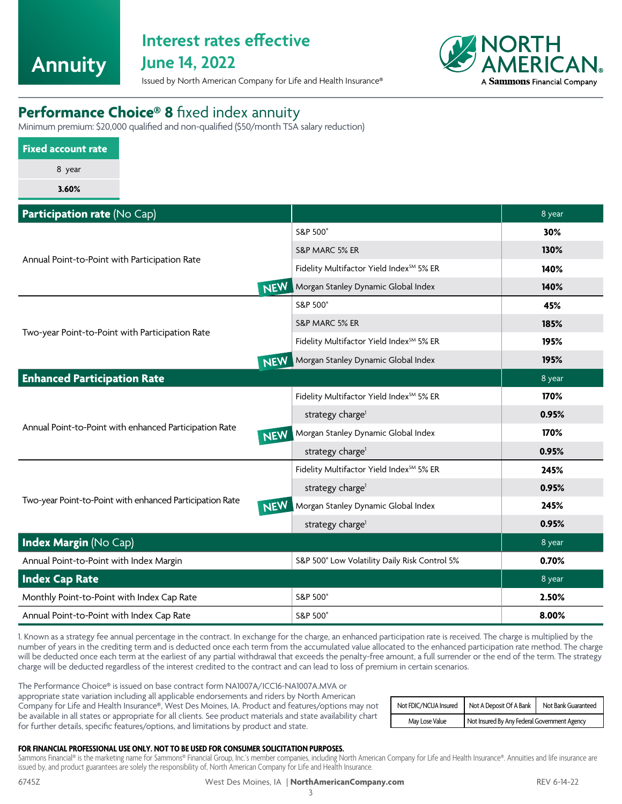<span id="page-2-0"></span>**Annuity**

## **Interest rates effective**

**June 14, 2022**



Issued by North American Company for Life and Health Insurance®

## **Performance Choice® 8** fixed index annuity

Minimum premium: \$20,000 qualified and non-qualified (\$50/month TSA salary reduction)

| <b>Fixed account rate</b> |  |  |  |  |
|---------------------------|--|--|--|--|
| 8 year                    |  |  |  |  |
| 3.60%                     |  |  |  |  |

| Participation rate (No Cap)                                          |                                                      | 8 year |
|----------------------------------------------------------------------|------------------------------------------------------|--------|
|                                                                      | S&P 500°                                             | 30%    |
|                                                                      | S&P MARC 5% ER                                       | 130%   |
| Annual Point-to-Point with Participation Rate                        | Fidelity Multifactor Yield Index <sup>5M</sup> 5% ER | 140%   |
| <b>NEW</b>                                                           | Morgan Stanley Dynamic Global Index                  | 140%   |
|                                                                      | S&P 500°                                             | 45%    |
| Two-year Point-to-Point with Participation Rate                      | S&P MARC 5% ER                                       | 185%   |
|                                                                      | Fidelity Multifactor Yield Index <sup>5M</sup> 5% ER | 195%   |
| <b>NEW</b>                                                           | Morgan Stanley Dynamic Global Index                  | 195%   |
| <b>Enhanced Participation Rate</b>                                   |                                                      | 8 year |
|                                                                      | Fidelity Multifactor Yield Index <sup>5M</sup> 5% ER | 170%   |
|                                                                      | strategy charge <sup>1</sup>                         | 0.95%  |
| Annual Point-to-Point with enhanced Participation Rate<br><b>NEW</b> | Morgan Stanley Dynamic Global Index                  | 170%   |
|                                                                      | strategy charge <sup>1</sup>                         | 0.95%  |
|                                                                      | Fidelity Multifactor Yield Index <sup>5M</sup> 5% ER | 245%   |
|                                                                      | strategy charge <sup>1</sup>                         | 0.95%  |
| Two-year Point-to-Point with enhanced Participation Rate<br>NEW      | Morgan Stanley Dynamic Global Index                  | 245%   |
|                                                                      | strategy charge <sup>1</sup>                         | 0.95%  |
| <b>Index Margin (No Cap)</b>                                         |                                                      | 8 year |
| Annual Point-to-Point with Index Margin                              | S&P 500° Low Volatility Daily Risk Control 5%        | 0.70%  |
| <b>Index Cap Rate</b>                                                |                                                      | 8 year |
| Monthly Point-to-Point with Index Cap Rate                           | S&P 500°                                             | 2.50%  |
| Annual Point-to-Point with Index Cap Rate                            | S&P 500°                                             | 8.00%  |

1. Known as a strategy fee annual percentage in the contract. In exchange for the charge, an enhanced participation rate is received. The charge is multiplied by the number of years in the crediting term and is deducted once each term from the accumulated value allocated to the enhanced participation rate method. The charge will be deducted once each term at the earliest of any partial withdrawal that exceeds the penalty-free amount, a full surrender or the end of the term. The strategy charge will be deducted regardless of the interest credited to the contract and can lead to loss of premium in certain scenarios.

The Performance Choice® is issued on base contract form NA1007A/ICC16-NA1007A.MVA or appropriate state variation including all applicable endorsements and riders by North American Company for Life and Health Insurance®, West Des Moines, IA. Product and features/options may not be available in all states or appropriate for all clients. See product materials and state availability chart for further details, specific features/options, and limitations by product and state.

| Not FDIC/NCUA Insured | Not A Deposit Of A Bank.                     | Not Bank Guaranteed |
|-----------------------|----------------------------------------------|---------------------|
| May Lose Value        | Not Insured By Any Federal Government Agency |                     |

### **FOR FINANCIAL PROFESSIONAL USE ONLY. NOT TO BE USED FOR CONSUMER SOLICITATION PURPOSES.**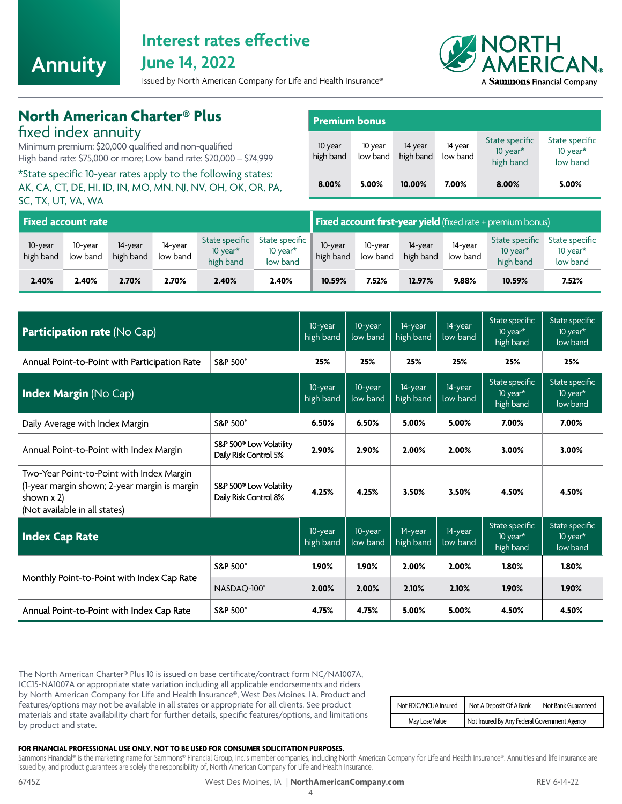<span id="page-3-0"></span>

## **Interest rates effective**

**June 14, 2022**

Issued by North American Company for Life and Health Insurance®



## **North American Charter® Plus**

fixed index annuity

Minimum premium: \$20,000 qualified and non-qualified High band rate: \$75,000 or more; Low band rate: \$20,000 – \$74,999

\*State specific 10-year rates apply to the following states: AK, CA, CT, DE, HI, ID, IN, MO, MN, NJ, NV, OH, OK, OR, PA, SC, TX, UT, VA, WA

| <b>Premium bonus</b> |                     |                      |                     |                                            |                                           |  |  |  |  |
|----------------------|---------------------|----------------------|---------------------|--------------------------------------------|-------------------------------------------|--|--|--|--|
| 10 year<br>high band | 10 year<br>low band | 14 year<br>high band | 14 year<br>low band | State specific<br>10 year $*$<br>high band | State specific<br>10 year $*$<br>low band |  |  |  |  |
| 8.00%                | 5.00%               | 10.00%               | 7.00%               | 8.00%                                      | 5.00%                                     |  |  |  |  |

| <b>Fixed account rate</b> |                     |                      |                     |                                            |                                           |                      |                     | <b>Fixed account first-year yield</b> (fixed rate + premium bonus) |                     |                                            |                                           |
|---------------------------|---------------------|----------------------|---------------------|--------------------------------------------|-------------------------------------------|----------------------|---------------------|--------------------------------------------------------------------|---------------------|--------------------------------------------|-------------------------------------------|
| 10-year<br>high band      | 10-year<br>low band | 14-year<br>high band | 14-year<br>low band | State specific<br>10 year $*$<br>high band | State specific<br>10 year $*$<br>low band | 10-year<br>high band | 10-year<br>low band | 14-year<br>high band                                               | 14-year<br>low band | State specific<br>10 year $*$<br>high band | State specific<br>10 year $*$<br>low band |
| 2.40%                     | 2.40%               | 2.70%                | 2.70%               | 2.40%                                      | 2.40%                                     | 10.59%               | 7.52%               | 12.97%                                                             | 9.88%               | 10.59%                                     | 7.52%                                     |

| <b>Participation rate (No Cap)</b>                                                                                                                                                                        |                     |       | 10-year<br>low band | 14-year<br>high band | 14-year<br>low band | State specific<br>10 year $*$<br>high band | State specific<br>10 year*<br>low band   |
|-----------------------------------------------------------------------------------------------------------------------------------------------------------------------------------------------------------|---------------------|-------|---------------------|----------------------|---------------------|--------------------------------------------|------------------------------------------|
| Annual Point-to-Point with Participation Rate                                                                                                                                                             | <b>S&amp;P 500°</b> | 25%   | 25%                 | 25%                  | 25%                 | 25%                                        | 25%                                      |
| <b>Index Margin (No Cap)</b>                                                                                                                                                                              |                     |       | 10-year<br>low band | 14-year<br>high band | 14-year<br>low band | State specific<br>10 year*<br>high band    | State specific<br>10 year*<br>low band   |
| Daily Average with Index Margin<br><b>S&amp;P 500°</b>                                                                                                                                                    |                     |       | 6.50%               | 5.00%                | 5.00%               | 7.00%                                      | 7.00%                                    |
| S&P 500 <sup>®</sup> Low Volatility<br>Annual Point-to-Point with Index Margin<br>Daily Risk Control 5%                                                                                                   |                     |       | 2.90%               | 2.00%                | 2.00%               | 3.00%                                      | 3.00%                                    |
| Two-Year Point-to-Point with Index Margin<br>(1-year margin shown; 2-year margin is margin<br>S&P 500 <sup>®</sup> Low Volatility<br>Daily Risk Control 8%<br>shown x 2)<br>(Not available in all states) |                     | 4.25% | 4.25%               | 3.50%                | 3.50%               | 4.50%                                      | 4.50%                                    |
| <b>Index Cap Rate</b>                                                                                                                                                                                     |                     |       | 10-year<br>low band | 14-year<br>high band | 14-year<br>low band | State specific<br>10 year*<br>high band    | State specific<br>10 $vear*$<br>low band |
|                                                                                                                                                                                                           | <b>S&amp;P 500°</b> | 1.90% | 1.90%               | 2.00%                | 2.00%               | 1.80%                                      | 1.80%                                    |
| Monthly Point-to-Point with Index Cap Rate                                                                                                                                                                | NASDAQ-100°         | 2.00% | 2.00%               | 2.10%                | 2.10%               | 1.90%                                      | 1.90%                                    |
| Annual Point-to-Point with Index Cap Rate                                                                                                                                                                 | <b>S&amp;P 500°</b> | 4.75% | 4.75%               | 5.00%                | 5.00%               | 4.50%                                      | 4.50%                                    |

The North American Charter® Plus 10 is issued on base certificate/contract form NC/NA1007A, ICC15-NA1007A or appropriate state variation including all applicable endorsements and riders by North American Company for Life and Health Insurance®, West Des Moines, IA. Product and features/options may not be available in all states or appropriate for all clients. See product materials and state availability chart for further details, specific features/options, and limitations by product and state.

| Not FDIC/NCUA Insured | Not A Deposit Of A Bank                      | Not Bank Guaranteed |  |  |  |
|-----------------------|----------------------------------------------|---------------------|--|--|--|
| May Lose Value        | Not Insured By Any Federal Government Agency |                     |  |  |  |

### **FOR FINANCIAL PROFESSIONAL USE ONLY. NOT TO BE USED FOR CONSUMER SOLICITATION PURPOSES.**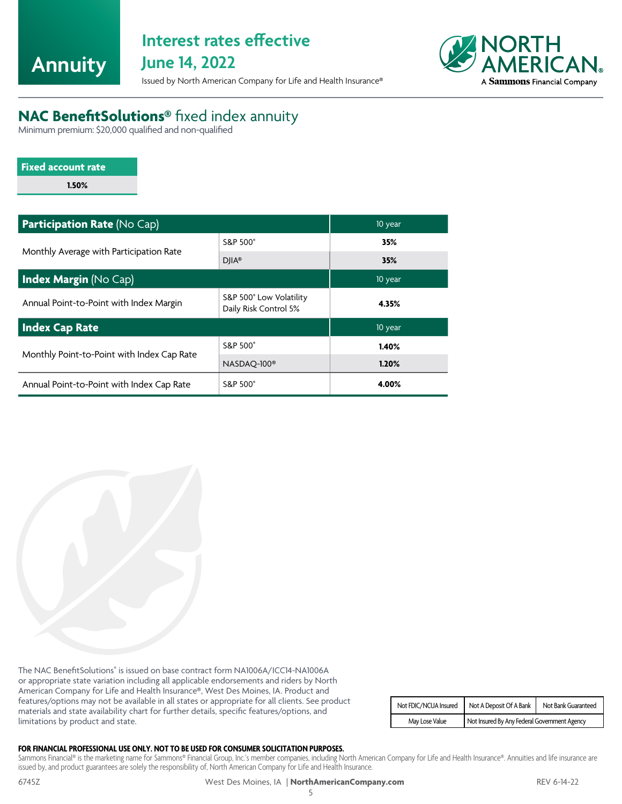<span id="page-4-0"></span>

# **Interest rates effective**

**June 14, 2022**

Issued by North American Company for Life and Health Insurance®



## **NAC BenefitSolutions®** fixed index annuity

Minimum premium: \$20,000 qualified and non-qualified

| <b>Fixed account rate</b> |  |
|---------------------------|--|
| 1.50%                     |  |

| <b>Participation Rate (No Cap)</b>         | 10 year                                          |       |
|--------------------------------------------|--------------------------------------------------|-------|
| Monthly Average with Participation Rate    | S&P 500°                                         | 35%   |
|                                            | $DIIA^*$                                         | 35%   |
| <b>Index Margin (No Cap)</b>               | 10 year                                          |       |
| Annual Point-to-Point with Index Margin    | S&P 500° Low Volatility<br>Daily Risk Control 5% | 4.35% |
| Index Cap Rate                             | 10 year                                          |       |
|                                            | S&P 500°                                         | 1.40% |
| Monthly Point-to-Point with Index Cap Rate | NASDAQ-100 <sup>®</sup>                          | 1.20% |
| Annual Point-to-Point with Index Cap Rate  | S&P 500°                                         | 4.00% |

The NAC BenefitSolutions® is issued on base contract form NA1006A/ICC14-NA1006A or appropriate state variation including all applicable endorsements and riders by North American Company for Life and Health Insurance®, West Des Moines, IA. Product and features/options may not be available in all states or appropriate for all clients. See product materials and state availability chart for further details, specific features/options, and limitations by product and state.

| Not FDIC/NCUA Insured | Not A Deposit Of A Bank                      | Not Bank Guaranteed |
|-----------------------|----------------------------------------------|---------------------|
| May Lose Value        | Not Insured By Any Federal Government Agency |                     |

### **FOR FINANCIAL PROFESSIONAL USE ONLY. NOT TO BE USED FOR CONSUMER SOLICITATION PURPOSES.**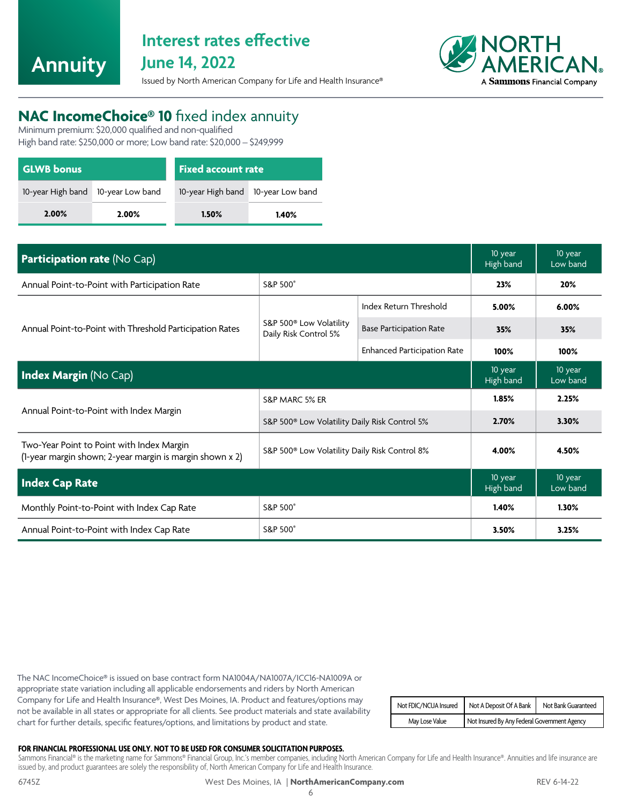<span id="page-5-0"></span>**Annuity**

## **Interest rates effective June 14, 2022**



### Issued by North American Company for Life and Health Insurance®

## **NAC IncomeChoice® 10** fixed index annuity

Minimum premium: \$20,000 qualified and non-qualified High band rate: \$250,000 or more; Low band rate: \$20,000 – \$249,999

| <b>GLWB</b> bonus                     |       | Fixed account rate                 |       |  |
|---------------------------------------|-------|------------------------------------|-------|--|
| 10-year High band<br>10-year Low band |       | 10-year High band 10-year Low band |       |  |
| 2.00%                                 | 2.00% | 1.50%                              | 1.40% |  |

| Participation rate (No Cap)                                                                           |                                                              |                                    |                      | 10 year<br>Low band |
|-------------------------------------------------------------------------------------------------------|--------------------------------------------------------------|------------------------------------|----------------------|---------------------|
| Annual Point-to-Point with Participation Rate                                                         | S&P 500°                                                     |                                    | 23%                  | 20%                 |
|                                                                                                       | S&P 500 <sup>®</sup> Low Volatility<br>Daily Risk Control 5% | Index Return Threshold             | 5.00%                | 6.00%               |
| Annual Point-to-Point with Threshold Participation Rates                                              |                                                              | <b>Base Participation Rate</b>     | 35%                  | 35%                 |
|                                                                                                       |                                                              | <b>Enhanced Participation Rate</b> | 100%                 | 100%                |
| <b>Index Margin (No Cap)</b>                                                                          |                                                              |                                    |                      | 10 year<br>Low band |
|                                                                                                       | S&P MARC 5% ER                                               |                                    | 1.85%                | 2.25%               |
| Annual Point-to-Point with Index Margin                                                               | S&P 500 <sup>®</sup> Low Volatility Daily Risk Control 5%    |                                    | 2.70%                | 3.30%               |
| Two-Year Point to Point with Index Margin<br>(1-year margin shown; 2-year margin is margin shown x 2) | S&P 500® Low Volatility Daily Risk Control 8%                |                                    | 4.00%                | 4.50%               |
| <b>Index Cap Rate</b>                                                                                 |                                                              |                                    | 10 year<br>High band | 10 year<br>Low band |
| Monthly Point-to-Point with Index Cap Rate                                                            | S&P 500°                                                     |                                    | 1.40%                | 1.30%               |
| Annual Point-to-Point with Index Cap Rate                                                             | S&P 500°                                                     |                                    | 3.50%                | 3.25%               |

The NAC IncomeChoice® is issued on base contract form NA1004A/NA1007A/ICC16-NA1009A or appropriate state variation including all applicable endorsements and riders by North American Company for Life and Health Insurance®, West Des Moines, IA. Product and features/options may not be available in all states or appropriate for all clients. See product materials and state availability chart for further details, specific features/options, and limitations by product and state.

| Not FDIC/NCUA Insured | Not A Deposit Of A Bank   Not Bank Guaranteed |  |
|-----------------------|-----------------------------------------------|--|
| May Lose Value        | Not Insured By Any Federal Government Agency  |  |

### **FOR FINANCIAL PROFESSIONAL USE ONLY. NOT TO BE USED FOR CONSUMER SOLICITATION PURPOSES.**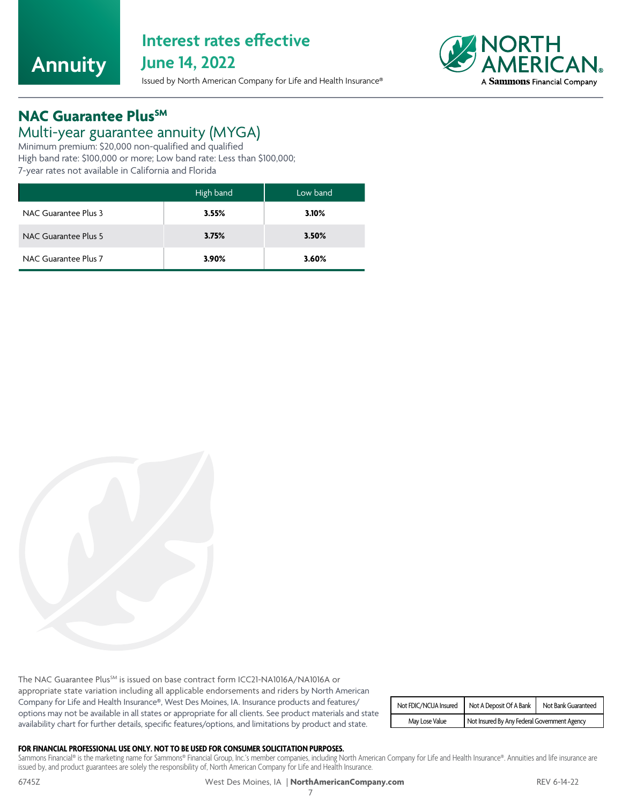<span id="page-6-0"></span>

## **Interest rates effective June 14, 2022**

Issued by North American Company for Life and Health Insurance®



## **NAC Guarantee Plus<sup>SM</sup>**

### Multi-year guarantee annuity (MYGA)

Minimum premium: \$20,000 non-qualified and qualified High band rate: \$100,000 or more; Low band rate: Less than \$100,000; 7-year rates not available in California and Florida

|                      | High band | Low band |
|----------------------|-----------|----------|
| NAC Guarantee Plus 3 | 3.55%     | 3.10%    |
| NAC Guarantee Plus 5 | 3.75%     | 3.50%    |
| NAC Guarantee Plus 7 | 3.90%     | 3.60%    |

The NAC Guarantee Plus<sup>SM</sup> is issued on base contract form ICC21-NA1016A/NA1016A or appropriate state variation including all applicable endorsements and riders by North American Company for Life and Health Insurance®, West Des Moines, IA. Insurance products and features/ options may not be available in all states or appropriate for all clients. See product materials and state availability chart for further details, specific features/options, and limitations by product and state.

| Not FDIC/NCUA Insured | Not A Deposit Of A Bank   Not Bank Guaranteed |  |
|-----------------------|-----------------------------------------------|--|
| May Lose Value        | Not Insured By Any Federal Government Agency  |  |

### **FOR FINANCIAL PROFESSIONAL USE ONLY. NOT TO BE USED FOR CONSUMER SOLICITATION PURPOSES.**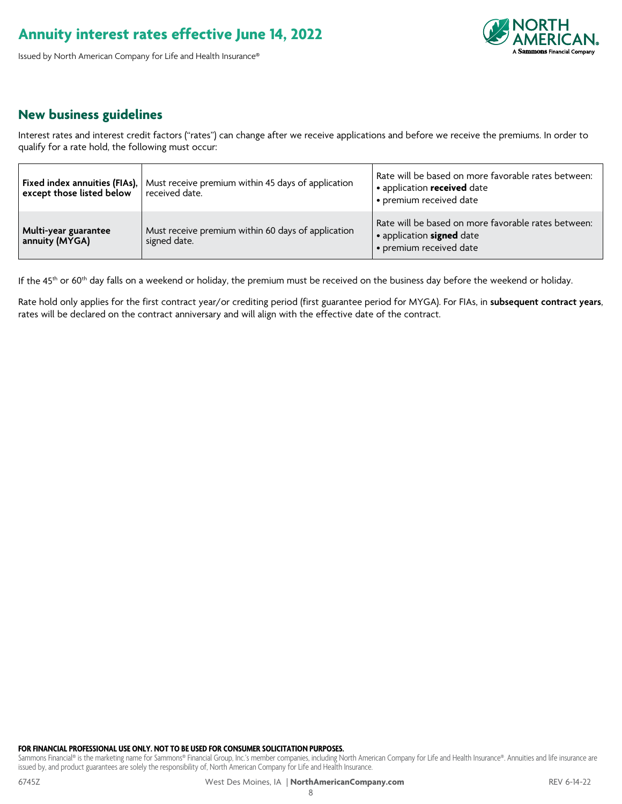### **Annuity interest rates effective June 14, 2022**

Issued by North American Company for Life and Health Insurance®



### **New business guidelines**

Interest rates and interest credit factors ("rates") can change after we receive applications and before we receive the premiums. In order to qualify for a rate hold, the following must occur:

| Fixed index annuities (FIAs),<br>except those listed below | Must receive premium within 45 days of application<br>received date. | Rate will be based on more favorable rates between:<br>• application received date<br>· premium received date      |
|------------------------------------------------------------|----------------------------------------------------------------------|--------------------------------------------------------------------------------------------------------------------|
| Multi-year guarantee<br>annuity (MYGA)                     | Must receive premium within 60 days of application<br>signed date.   | Rate will be based on more favorable rates between:<br>• application <b>signed</b> date<br>· premium received date |

If the 45<sup>th</sup> or 60<sup>th</sup> day falls on a weekend or holiday, the premium must be received on the business day before the weekend or holiday.

Rate hold only applies for the first contract year/or crediting period (first guarantee period for MYGA). For FIAs, in **subsequent contract years**, rates will be declared on the contract anniversary and will align with the effective date of the contract.

### **FOR FINANCIAL PROFESSIONAL USE ONLY. NOT TO BE USED FOR CONSUMER SOLICITATION PURPOSES.**